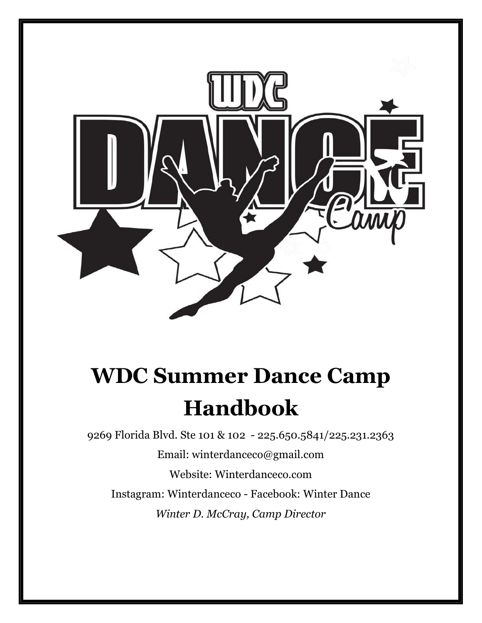

# **WDC Summer Dance Camp Handbook**

9269 Florida Blvd. Ste 101 & 102 - 225.650.5841/225.231.2363 [Email: winterdanceco@gmail.com](mailto:Email:%20winterdanceco@gmail.com) Website: Winterdanceco.com Instagram: Winterdanceco - Facebook: Winter Dance *Winter D. McCray, Camp Director*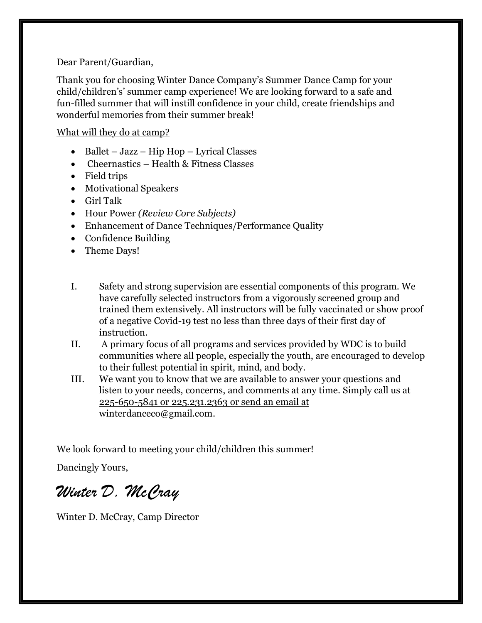Dear Parent/Guardian,

Thank you for choosing Winter Dance Company's Summer Dance Camp for your child/children's' summer camp experience! We are looking forward to a safe and fun-filled summer that will instill confidence in your child, create friendships and wonderful memories from their summer break!

#### What will they do at camp?

- Ballet Jazz Hip Hop Lyrical Classes
- Cheernastics Health & Fitness Classes
- Field trips
- Motivational Speakers
- Girl Talk
- Hour Power *(Review Core Subjects)*
- Enhancement of Dance Techniques/Performance Quality
- Confidence Building
- Theme Days!
- I. Safety and strong supervision are essential components of this program. We have carefully selected instructors from a vigorously screened group and trained them extensively. All instructors will be fully vaccinated or show proof of a negative Covid-19 test no less than three days of their first day of instruction.
- II. A primary focus of all programs and services provided by WDC is to build communities where all people, especially the youth, are encouraged to develop to their fullest potential in spirit, mind, and body.
- III. We want you to know that we are available to answer your questions and listen to your needs, concerns, and comments at any time. Simply call us at 225-650-5841 or 225.231.2363 or send an email at winterdanceco@gmail.com.

We look forward to meeting your child/children this summer!

Dancingly Yours,

*Winter D. McCray*

Winter D. McCray, Camp Director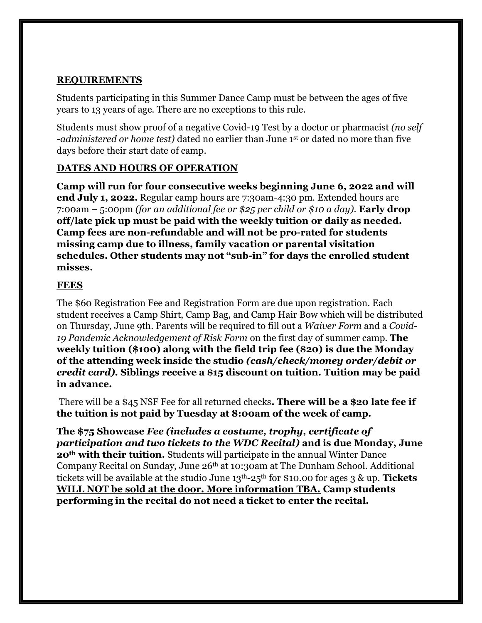#### **REQUIREMENTS**

Students participating in this Summer Dance Camp must be between the ages of five years to 13 years of age. There are no exceptions to this rule.

Students must show proof of a negative Covid-19 Test by a doctor or pharmacist *(no self -administered or home test)* dated no earlier than June 1st or dated no more than five days before their start date of camp.

#### **DATES AND HOURS OF OPERATION**

**Camp will run for four consecutive weeks beginning June 6, 2022 and will end July 1, 2022.** Regular camp hours are 7:30am-4:30 pm. Extended hours are 7:00am – 5:00pm *(for an additional fee or \$25 per child or \$10 a day).* **Early drop off/late pick up must be paid with the weekly tuition or daily as needed. Camp fees are non-refundable and will not be pro-rated for students missing camp due to illness, family vacation or parental visitation schedules. Other students may not "sub-in" for days the enrolled student misses.** 

#### **FEES**

The \$60 Registration Fee and Registration Form are due upon registration. Each student receives a Camp Shirt, Camp Bag, and Camp Hair Bow which will be distributed on Thursday, June 9th. Parents will be required to fill out a *Waiver Form* and a *Covid-19 Pandemic Acknowledgement of Risk Form* on the first day of summer camp. **The weekly tuition (\$100) along with the field trip fee (\$20) is due the Monday of the attending week inside the studio** *(cash/check/money order/debit or credit card).* **Siblings receive a \$15 discount on tuition. Tuition may be paid in advance.**

There will be a \$45 NSF Fee for all returned checks**. There will be a \$20 late fee if the tuition is not paid by Tuesday at 8:00am of the week of camp.**

**The \$75 Showcase** *Fee (includes a costume, trophy, certificate of participation and two tickets to the WDC Recital)* **and is due Monday, June 20th with their tuition.** Students will participate in the annual Winter Dance Company Recital on Sunday, June 26th at 10:30am at The Dunham School. Additional tickets will be available at the studio June 13th-25th for \$10.00 for ages 3 & up. **Tickets WILL NOT be sold at the door. More information TBA. Camp students performing in the recital do not need a ticket to enter the recital.**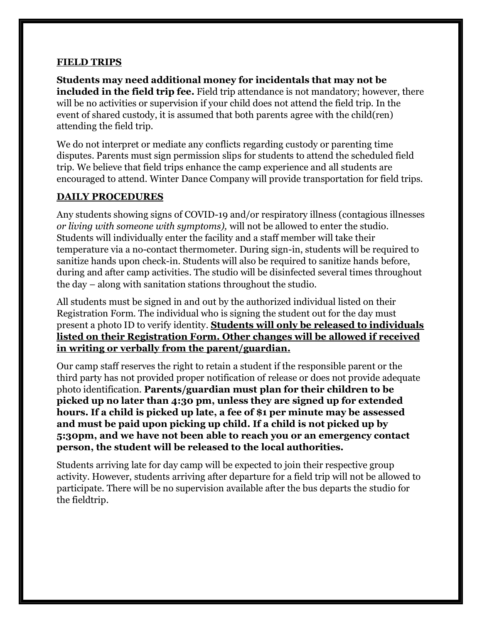#### **FIELD TRIPS**

**Students may need additional money for incidentals that may not be included in the field trip fee.** Field trip attendance is not mandatory; however, there will be no activities or supervision if your child does not attend the field trip. In the event of shared custody, it is assumed that both parents agree with the child(ren) attending the field trip.

We do not interpret or mediate any conflicts regarding custody or parenting time disputes. Parents must sign permission slips for students to attend the scheduled field trip. We believe that field trips enhance the camp experience and all students are encouraged to attend. Winter Dance Company will provide transportation for field trips.

#### **DAILY PROCEDURES**

Any students showing signs of COVID-19 and/or respiratory illness (contagious illnesses *or living with someone with symptoms),* will not be allowed to enter the studio. Students will individually enter the facility and a staff member will take their temperature via a no-contact thermometer. During sign-in, students will be required to sanitize hands upon check-in. Students will also be required to sanitize hands before, during and after camp activities. The studio will be disinfected several times throughout the day – along with sanitation stations throughout the studio.

All students must be signed in and out by the authorized individual listed on their Registration Form. The individual who is signing the student out for the day must present a photo ID to verify identity. **Students will only be released to individuals listed on their Registration Form. Other changes will be allowed if received in writing or verbally from the parent/guardian.** 

Our camp staff reserves the right to retain a student if the responsible parent or the third party has not provided proper notification of release or does not provide adequate photo identification. **Parents/guardian must plan for their children to be picked up no later than 4:30 pm, unless they are signed up for extended hours. If a child is picked up late, a fee of \$1 per minute may be assessed and must be paid upon picking up child. If a child is not picked up by 5:30pm, and we have not been able to reach you or an emergency contact person, the student will be released to the local authorities.** 

Students arriving late for day camp will be expected to join their respective group activity. However, students arriving after departure for a field trip will not be allowed to participate. There will be no supervision available after the bus departs the studio for the fieldtrip.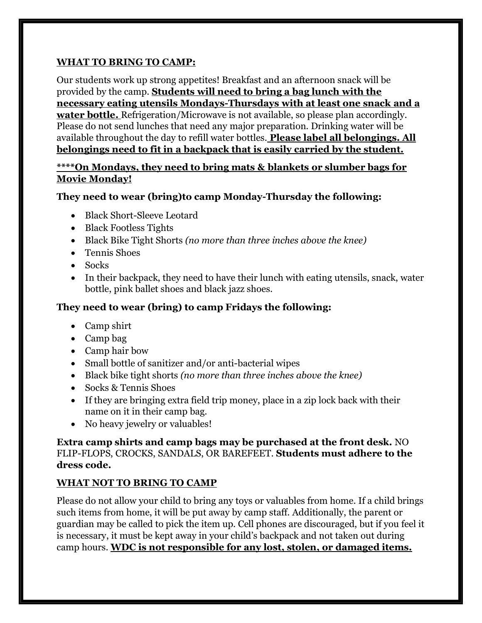#### **WHAT TO BRING TO CAMP:**

Our students work up strong appetites! Breakfast and an afternoon snack will be provided by the camp. **Students will need to bring a bag lunch with the necessary eating utensils Mondays-Thursdays with at least one snack and a water bottle.** Refrigeration/Microwave is not available, so please plan accordingly. Please do not send lunches that need any major preparation. Drinking water will be available throughout the day to refill water bottles. **Please label all belongings. All belongings need to fit in a backpack that is easily carried by the student.**

#### **\*\*\*\*On Mondays, they need to bring mats & blankets or slumber bags for Movie Monday!**

#### **They need to wear (bring)to camp Monday-Thursday the following:**

- Black Short-Sleeve Leotard
- Black Footless Tights
- Black Bike Tight Shorts *(no more than three inches above the knee)*
- Tennis Shoes
- Socks
- In their backpack, they need to have their lunch with eating utensils, snack, water bottle, pink ballet shoes and black jazz shoes.

#### **They need to wear (bring) to camp Fridays the following:**

- Camp shirt
- Camp bag
- Camp hair bow
- Small bottle of sanitizer and/or anti-bacterial wipes
- Black bike tight shorts *(no more than three inches above the knee)*
- Socks & Tennis Shoes
- If they are bringing extra field trip money, place in a zip lock back with their name on it in their camp bag.
- No heavy jewelry or valuables!

**Extra camp shirts and camp bags may be purchased at the front desk.** NO FLIP-FLOPS, CROCKS, SANDALS, OR BAREFEET. **Students must adhere to the dress code.**

#### **WHAT NOT TO BRING TO CAMP**

Please do not allow your child to bring any toys or valuables from home. If a child brings such items from home, it will be put away by camp staff. Additionally, the parent or guardian may be called to pick the item up. Cell phones are discouraged, but if you feel it is necessary, it must be kept away in your child's backpack and not taken out during camp hours. **WDC is not responsible for any lost, stolen, or damaged items.**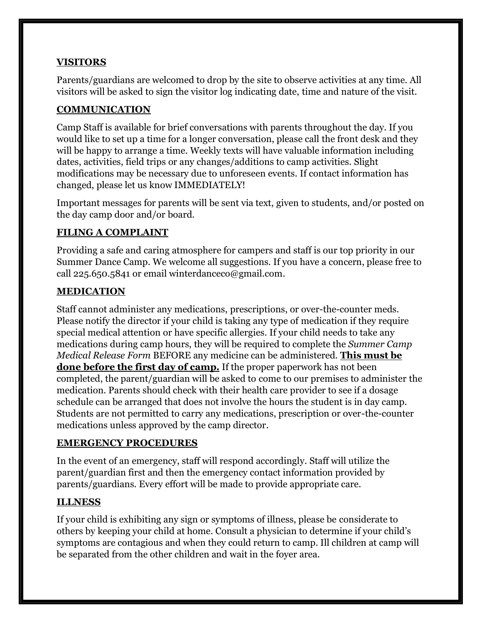#### **VISITORS**

Parents/guardians are welcomed to drop by the site to observe activities at any time. All visitors will be asked to sign the visitor log indicating date, time and nature of the visit.

#### **COMMUNICATION**

Camp Staff is available for brief conversations with parents throughout the day. If you would like to set up a time for a longer conversation, please call the front desk and they will be happy to arrange a time. Weekly texts will have valuable information including dates, activities, field trips or any changes/additions to camp activities. Slight modifications may be necessary due to unforeseen events. If contact information has changed, please let us know IMMEDIATELY!

Important messages for parents will be sent via text, given to students, and/or posted on the day camp door and/or board.

#### **FILING A COMPLAINT**

Providing a safe and caring atmosphere for campers and staff is our top priority in our Summer Dance Camp. We welcome all suggestions. If you have a concern, please free to call 225.650.5841 or email winterdanceco@gmail.com.

#### **MEDICATION**

Staff cannot administer any medications, prescriptions, or over-the-counter meds. Please notify the director if your child is taking any type of medication if they require special medical attention or have specific allergies. If your child needs to take any medications during camp hours, they will be required to complete the *Summer Camp Medical Release Form* BEFORE any medicine can be administered. **This must be done before the first day of camp.** If the proper paperwork has not been completed, the parent/guardian will be asked to come to our premises to administer the medication. Parents should check with their health care provider to see if a dosage schedule can be arranged that does not involve the hours the student is in day camp. Students are not permitted to carry any medications, prescription or over-the-counter medications unless approved by the camp director.

#### **EMERGENCY PROCEDURES**

In the event of an emergency, staff will respond accordingly. Staff will utilize the parent/guardian first and then the emergency contact information provided by parents/guardians. Every effort will be made to provide appropriate care.

#### **ILLNESS**

If your child is exhibiting any sign or symptoms of illness, please be considerate to others by keeping your child at home. Consult a physician to determine if your child's symptoms are contagious and when they could return to camp. Ill children at camp will be separated from the other children and wait in the foyer area.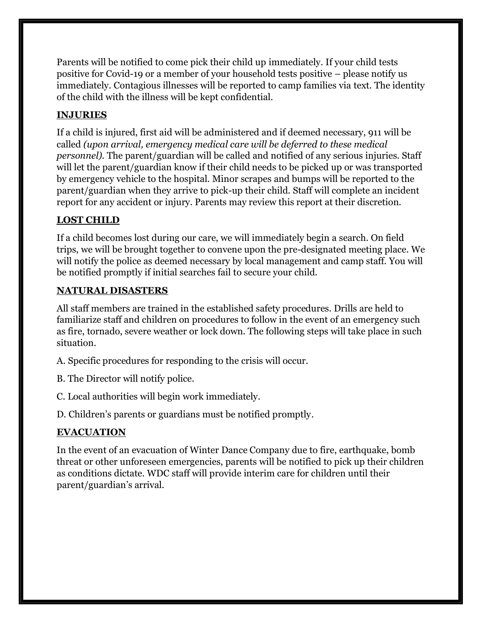Parents will be notified to come pick their child up immediately. If your child tests positive for Covid-19 or a member of your household tests positive – please notify us immediately. Contagious illnesses will be reported to camp families via text. The identity of the child with the illness will be kept confidential.

# **INJURIES**

If a child is injured, first aid will be administered and if deemed necessary, 911 will be called *(upon arrival, emergency medical care will be deferred to these medical personnel).* The parent/guardian will be called and notified of any serious injuries. Staff will let the parent/guardian know if their child needs to be picked up or was transported by emergency vehicle to the hospital. Minor scrapes and bumps will be reported to the parent/guardian when they arrive to pick-up their child. Staff will complete an incident report for any accident or injury. Parents may review this report at their discretion.

# **LOST CHILD**

If a child becomes lost during our care, we will immediately begin a search. On field trips, we will be brought together to convene upon the pre-designated meeting place. We will notify the police as deemed necessary by local management and camp staff. You will be notified promptly if initial searches fail to secure your child.

#### **NATURAL DISASTERS**

All staff members are trained in the established safety procedures. Drills are held to familiarize staff and children on procedures to follow in the event of an emergency such as fire, tornado, severe weather or lock down. The following steps will take place in such situation.

- A. Specific procedures for responding to the crisis will occur.
- B. The Director will notify police.
- C. Local authorities will begin work immediately.
- D. Children's parents or guardians must be notified promptly.

# **EVACUATION**

In the event of an evacuation of Winter Dance Company due to fire, earthquake, bomb threat or other unforeseen emergencies, parents will be notified to pick up their children as conditions dictate. WDC staff will provide interim care for children until their parent/guardian's arrival.